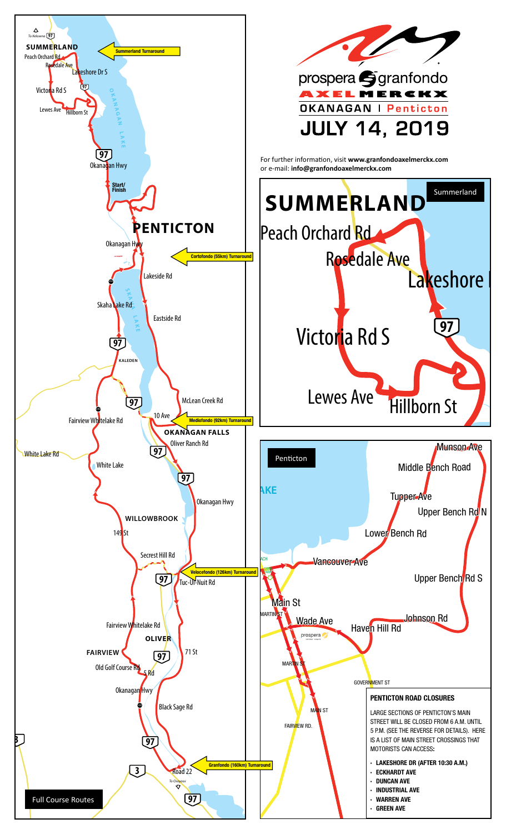